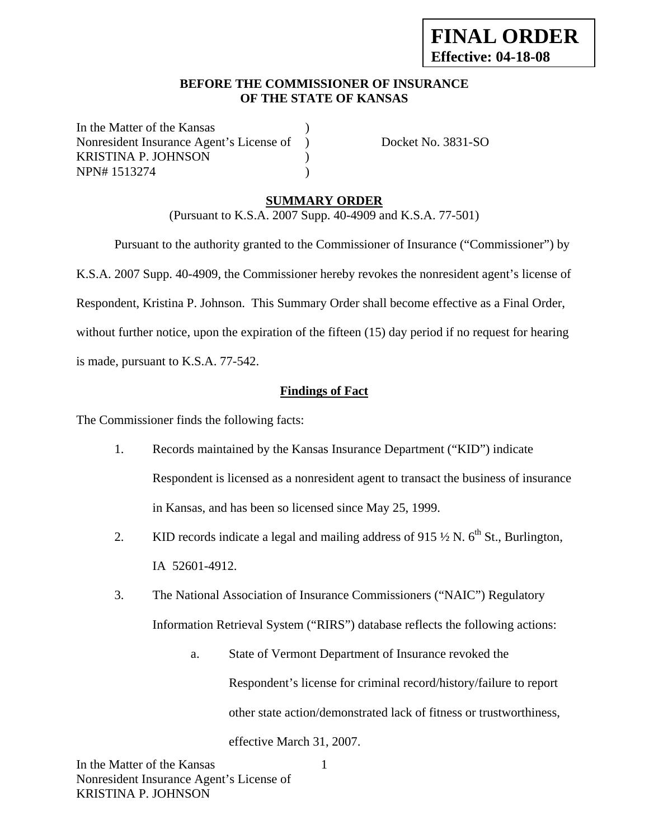### **BEFORE THE COMMISSIONER OF INSURANCE OF THE STATE OF KANSAS**

In the Matter of the Kansas Nonresident Insurance Agent's License of ) Docket No. 3831-SO KRISTINA P. JOHNSON (1997) NPN# 1513274 )

# **SUMMARY ORDER**

(Pursuant to K.S.A. 2007 Supp. 40-4909 and K.S.A. 77-501)

 Pursuant to the authority granted to the Commissioner of Insurance ("Commissioner") by K.S.A. 2007 Supp. 40-4909, the Commissioner hereby revokes the nonresident agent's license of Respondent, Kristina P. Johnson. This Summary Order shall become effective as a Final Order, without further notice, upon the expiration of the fifteen (15) day period if no request for hearing is made, pursuant to K.S.A. 77-542.

### **Findings of Fact**

The Commissioner finds the following facts:

- 1. Records maintained by the Kansas Insurance Department ("KID") indicate Respondent is licensed as a nonresident agent to transact the business of insurance in Kansas, and has been so licensed since May 25, 1999.
- 2. KID records indicate a legal and mailing address of 915  $\frac{1}{2}$  N. 6<sup>th</sup> St., Burlington, IA 52601-4912.
- 3. The National Association of Insurance Commissioners ("NAIC") Regulatory Information Retrieval System ("RIRS") database reflects the following actions:
	- a. State of Vermont Department of Insurance revoked the Respondent's license for criminal record/history/failure to report other state action/demonstrated lack of fitness or trustworthiness, effective March 31, 2007.

1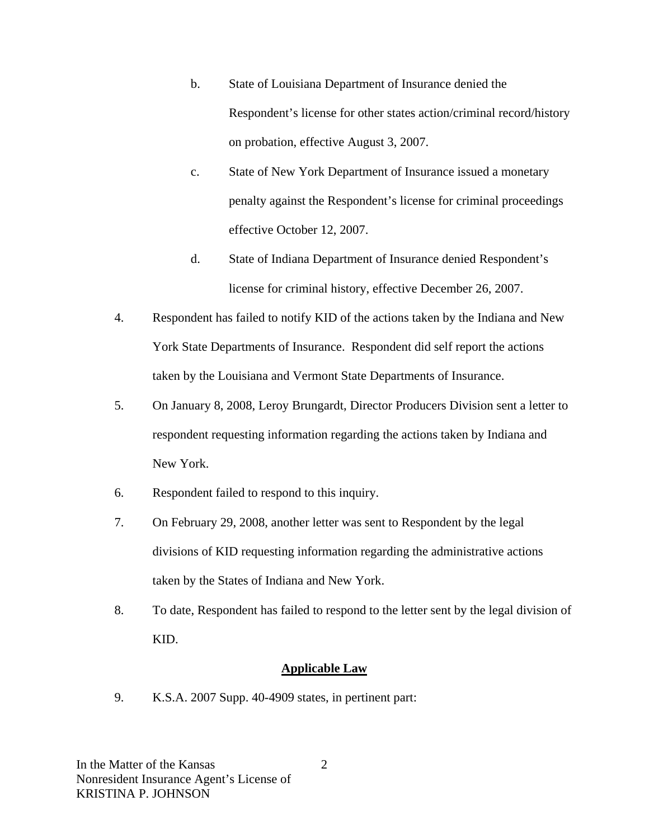- b. State of Louisiana Department of Insurance denied the Respondent's license for other states action/criminal record/history on probation, effective August 3, 2007.
- c. State of New York Department of Insurance issued a monetary penalty against the Respondent's license for criminal proceedings effective October 12, 2007.
- d. State of Indiana Department of Insurance denied Respondent's license for criminal history, effective December 26, 2007.
- 4. Respondent has failed to notify KID of the actions taken by the Indiana and New York State Departments of Insurance. Respondent did self report the actions taken by the Louisiana and Vermont State Departments of Insurance.
- 5. On January 8, 2008, Leroy Brungardt, Director Producers Division sent a letter to respondent requesting information regarding the actions taken by Indiana and New York.
- 6. Respondent failed to respond to this inquiry.
- 7. On February 29, 2008, another letter was sent to Respondent by the legal divisions of KID requesting information regarding the administrative actions taken by the States of Indiana and New York.
- 8. To date, Respondent has failed to respond to the letter sent by the legal division of KID.

#### **Applicable Law**

9. K.S.A. 2007 Supp. 40-4909 states, in pertinent part:

2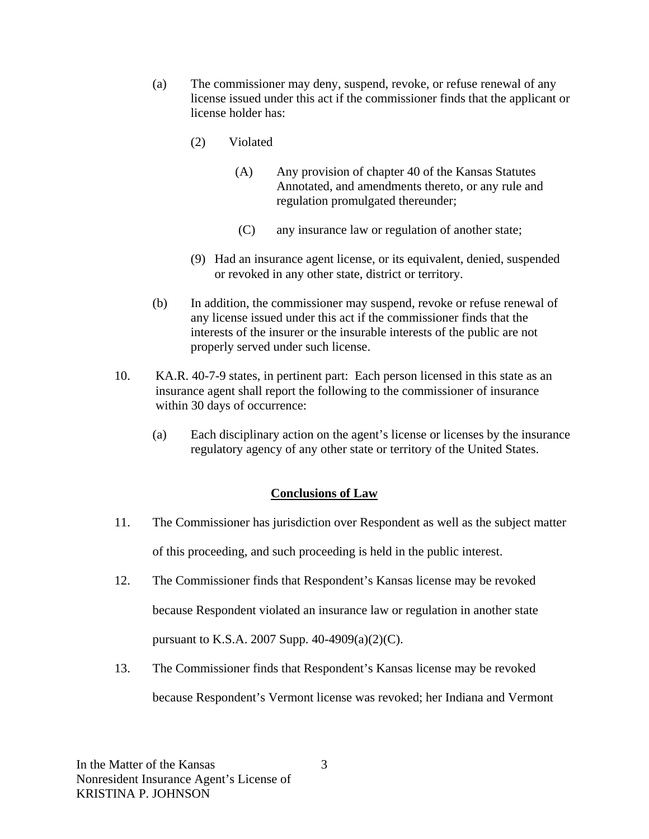- (a) The commissioner may deny, suspend, revoke, or refuse renewal of any license issued under this act if the commissioner finds that the applicant or license holder has:
	- (2) Violated
		- (A) Any provision of chapter 40 of the Kansas Statutes Annotated, and amendments thereto, or any rule and regulation promulgated thereunder;
		- (C) any insurance law or regulation of another state;
	- (9) Had an insurance agent license, or its equivalent, denied, suspended or revoked in any other state, district or territory.
- (b) In addition, the commissioner may suspend, revoke or refuse renewal of any license issued under this act if the commissioner finds that the interests of the insurer or the insurable interests of the public are not properly served under such license.
- 10. KA.R. 40-7-9 states, in pertinent part: Each person licensed in this state as an insurance agent shall report the following to the commissioner of insurance within 30 days of occurrence:
	- (a) Each disciplinary action on the agent's license or licenses by the insurance regulatory agency of any other state or territory of the United States.

## **Conclusions of Law**

- 11. The Commissioner has jurisdiction over Respondent as well as the subject matter of this proceeding, and such proceeding is held in the public interest.
- 12. The Commissioner finds that Respondent's Kansas license may be revoked because Respondent violated an insurance law or regulation in another state pursuant to K.S.A. 2007 Supp. 40-4909(a)(2)(C).
- 13. The Commissioner finds that Respondent's Kansas license may be revoked because Respondent's Vermont license was revoked; her Indiana and Vermont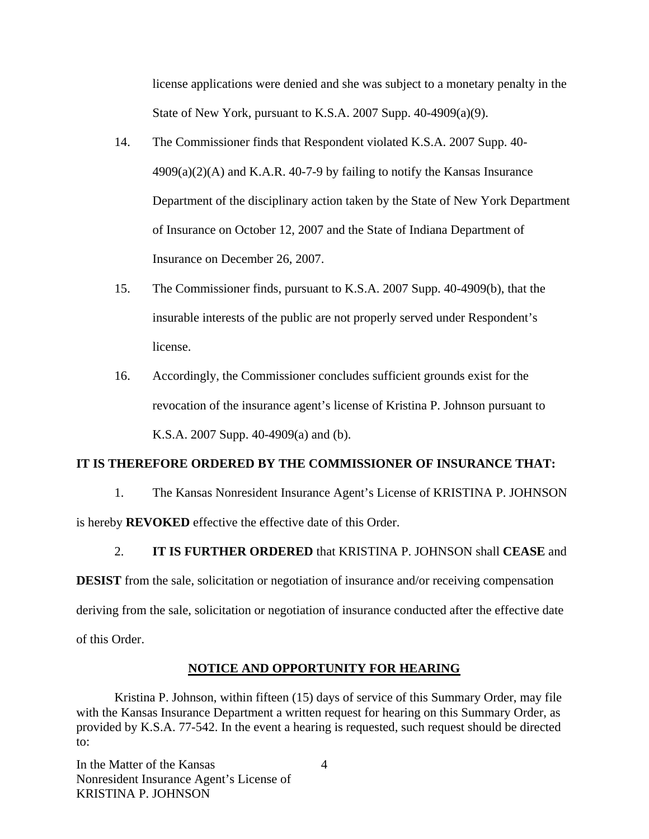license applications were denied and she was subject to a monetary penalty in the State of New York, pursuant to K.S.A. 2007 Supp. 40-4909(a)(9).

- 14. The Commissioner finds that Respondent violated K.S.A. 2007 Supp. 40-  $4909(a)(2)$ (A) and K.A.R. 40-7-9 by failing to notify the Kansas Insurance Department of the disciplinary action taken by the State of New York Department of Insurance on October 12, 2007 and the State of Indiana Department of Insurance on December 26, 2007.
- 15. The Commissioner finds, pursuant to K.S.A. 2007 Supp. 40-4909(b), that the insurable interests of the public are not properly served under Respondent's license.
- 16. Accordingly, the Commissioner concludes sufficient grounds exist for the revocation of the insurance agent's license of Kristina P. Johnson pursuant to K.S.A. 2007 Supp. 40-4909(a) and (b).

#### **IT IS THEREFORE ORDERED BY THE COMMISSIONER OF INSURANCE THAT:**

1. The Kansas Nonresident Insurance Agent's License of KRISTINA P. JOHNSON is hereby **REVOKED** effective the effective date of this Order.

2. **IT IS FURTHER ORDERED** that KRISTINA P. JOHNSON shall **CEASE** and

**DESIST** from the sale, solicitation or negotiation of insurance and/or receiving compensation deriving from the sale, solicitation or negotiation of insurance conducted after the effective date of this Order.

#### **NOTICE AND OPPORTUNITY FOR HEARING**

Kristina P. Johnson, within fifteen (15) days of service of this Summary Order, may file with the Kansas Insurance Department a written request for hearing on this Summary Order, as provided by K.S.A. 77-542. In the event a hearing is requested, such request should be directed to:

In the Matter of the Kansas Nonresident Insurance Agent's License of KRISTINA P. JOHNSON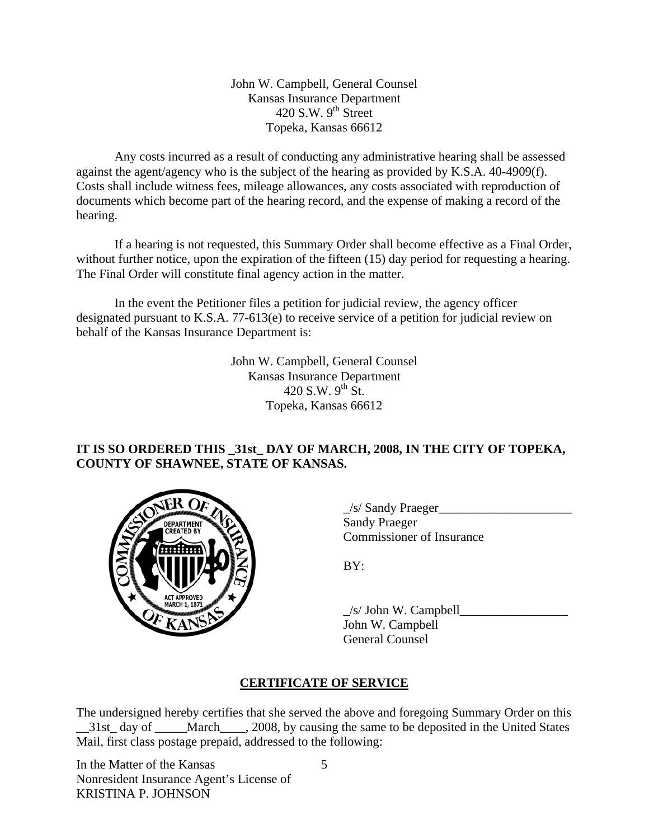John W. Campbell, General Counsel Kansas Insurance Department 420 S.W.  $9<sup>th</sup>$  Street Topeka, Kansas 66612

Any costs incurred as a result of conducting any administrative hearing shall be assessed against the agent/agency who is the subject of the hearing as provided by K.S.A. 40-4909(f). Costs shall include witness fees, mileage allowances, any costs associated with reproduction of documents which become part of the hearing record, and the expense of making a record of the hearing.

If a hearing is not requested, this Summary Order shall become effective as a Final Order, without further notice, upon the expiration of the fifteen (15) day period for requesting a hearing. The Final Order will constitute final agency action in the matter.

In the event the Petitioner files a petition for judicial review, the agency officer designated pursuant to K.S.A. 77-613(e) to receive service of a petition for judicial review on behalf of the Kansas Insurance Department is:

> John W. Campbell, General Counsel Kansas Insurance Department 420 S.W.  $9^{th}$  St. Topeka, Kansas 66612

## **IT IS SO ORDERED THIS \_31st\_ DAY OF MARCH, 2008, IN THE CITY OF TOPEKA, COUNTY OF SHAWNEE, STATE OF KANSAS.**



 $\angle$ s/ Sandy Praeger $\angle$  Sandy Praeger Commissioner of Insurance

 $\angle$ s/ John W. Campbell $\Box$  John W. Campbell General Counsel

# **CERTIFICATE OF SERVICE**

The undersigned hereby certifies that she served the above and foregoing Summary Order on this \_31st\_ day of \_\_\_\_March\_\_\_, 2008, by causing the same to be deposited in the United States Mail, first class postage prepaid, addressed to the following:

In the Matter of the Kansas Nonresident Insurance Agent's License of KRISTINA P. JOHNSON